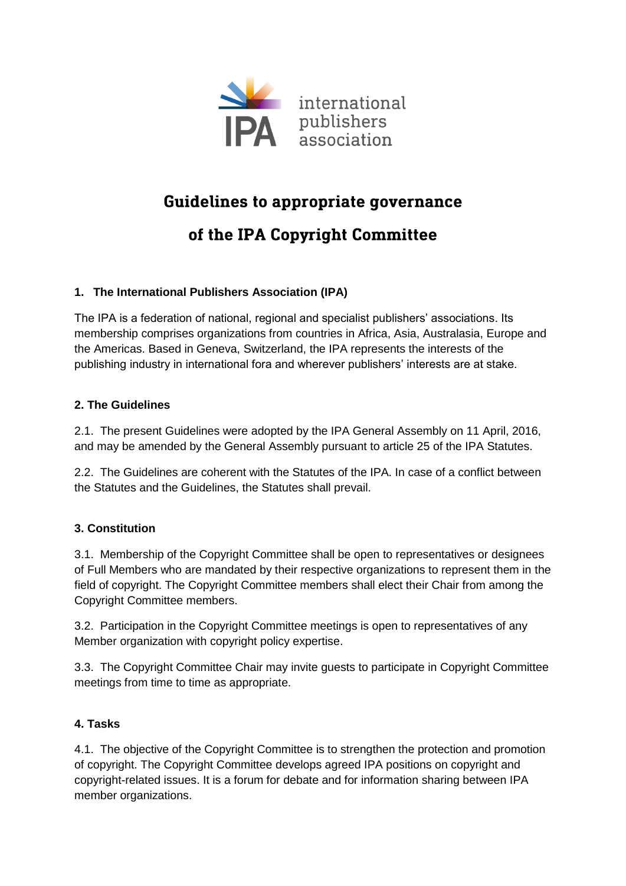

## **Guidelines to appropriate governance**

# of the IPA Copyright Committee

## **1. The International Publishers Association (IPA)**

The IPA is a federation of national, regional and specialist publishers' associations. Its membership comprises organizations from countries in Africa, Asia, Australasia, Europe and the Americas. Based in Geneva, Switzerland, the IPA represents the interests of the publishing industry in international fora and wherever publishers' interests are at stake.

#### **2. The Guidelines**

2.1. The present Guidelines were adopted by the IPA General Assembly on 11 April, 2016, and may be amended by the General Assembly pursuant to article 25 of the IPA Statutes.

2.2. The Guidelines are coherent with the Statutes of the IPA. In case of a conflict between the Statutes and the Guidelines, the Statutes shall prevail.

## **3. Constitution**

3.1. Membership of the Copyright Committee shall be open to representatives or designees of Full Members who are mandated by their respective organizations to represent them in the field of copyright. The Copyright Committee members shall elect their Chair from among the Copyright Committee members.

3.2. Participation in the Copyright Committee meetings is open to representatives of any Member organization with copyright policy expertise.

3.3. The Copyright Committee Chair may invite guests to participate in Copyright Committee meetings from time to time as appropriate.

#### **4. Tasks**

4.1. The objective of the Copyright Committee is to strengthen the protection and promotion of copyright. The Copyright Committee develops agreed IPA positions on copyright and copyright-related issues. It is a forum for debate and for information sharing between IPA member organizations.